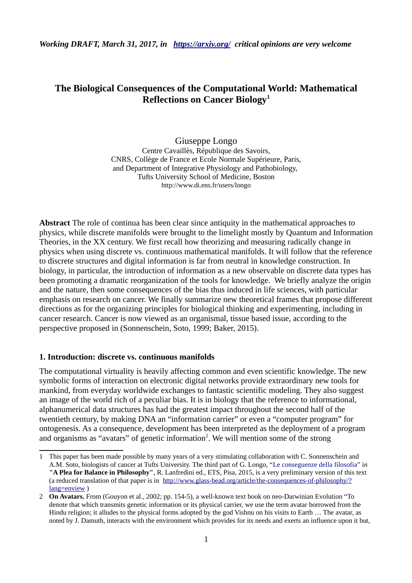*Working DRAFT, March 31, 2017, in <https://arxiv.org/>critical opinions are very welcome* 

# **The Biological Consequences of the Computational World: Mathematical Reflections on Cancer Biology[1](#page-0-0)**

Giuseppe Longo Centre Cavaillès, République des Savoirs, CNRS, Collège de France et Ecole Normale Supérieure, Paris, and Department of Integrative Physiology and Pathobiology, Tufts University School of Medicine, Boston http://www.di.ens.fr/users/longo

**Abstract** The role of continua has been clear since antiquity in the mathematical approaches to physics, while discrete manifolds were brought to the limelight mostly by Quantum and Information Theories, in the XX century. We first recall how theorizing and measuring radically change in physics when using discrete vs. continuous mathematical manifolds. It will follow that the reference to discrete structures and digital information is far from neutral in knowledge construction. In biology, in particular, the introduction of information as a new observable on discrete data types has been promoting a dramatic reorganization of the tools for knowledge. We briefly analyze the origin and the nature, then some consequences of the bias thus induced in life sciences, with particular emphasis on research on cancer. We finally summarize new theoretical frames that propose different directions as for the organizing principles for biological thinking and experimenting, including in cancer research. Cancer is now viewed as an organismal, tissue based issue, according to the perspective proposed in (Sonnenschein, Soto, 1999; Baker, 2015).

### **1. Introduction: discrete vs. continuous manifolds**

The computational virtuality is heavily affecting common and even scientific knowledge. The new symbolic forms of interaction on electronic digital networks provide extraordinary new tools for mankind, from everyday worldwide exchanges to fantastic scientific modeling. They also suggest an image of the world rich of a peculiar bias. It is in biology that the reference to informational, alphanumerical data structures has had the greatest impact throughout the second half of the twentieth century, by making DNA an "information carrier" or even a "computer program" for ontogenesis. As a consequence, development has been interpreted as the deployment of a program and organisms as "avatars" of genetic information<sup>[2](#page-0-1)</sup>. We will mention some of the strong

<span id="page-0-0"></span><sup>1</sup> This paper has been made possible by many years of a very stimulating collaboration with C. Sonnenschein and A.M. Soto, biologists of cancer at Tufts University. The third part of G. Longo, "Le conseguenze della filosofia" i*n*  **"A Plea for Balance in Philosophy"**, R. Lanfredini ed., ETS, Pisa, 2015, is a very preliminary version of this text (a reduced translation of that paper is in [http://www.glass-bead.org/article/the-consequences-of-philosophy/?](http://www.glass-bead.org/article/the-consequences-of-philosophy/?lang=enview) [lang=enview](http://www.glass-bead.org/article/the-consequences-of-philosophy/?lang=enview) )

<span id="page-0-1"></span><sup>2</sup> **On Avatars.** From (Gouyon et al., 2002; pp. 154-5), a well-known text book on neo-Darwinian Evolution "To denote that which transmits genetic information or its physical carrier, we use the term avatar borrowed from the Hindu religion; it alludes to the physical forms adopted by the god Vishnu on his visits to Earth … The avatar, as noted by J. Damuth, interacts with the environment which provides for its needs and exerts an influence upon it but,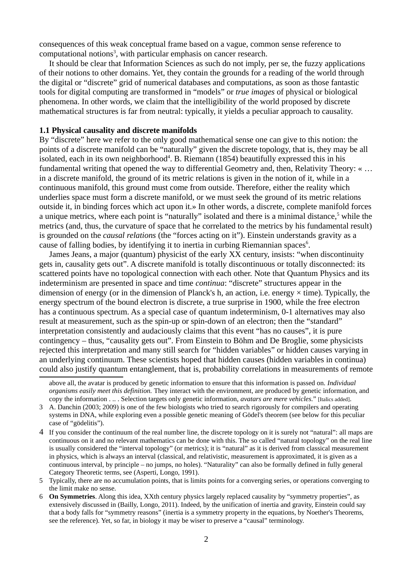consequences of this weak conceptual frame based on a vague, common sense reference to computational notions<sup>[3](#page-1-0)</sup>, with particular emphasis on cancer research.

It should be clear that Information Sciences as such do not imply, per se, the fuzzy applications of their notions to other domains. Yet, they contain the grounds for a reading of the world through the digital or "discrete" grid of numerical databases and computations, as soon as those fantastic tools for digital computing are transformed in "models" or *true images* of physical or biological phenomena. In other words, we claim that the intelligibility of the world proposed by discrete mathematical structures is far from neutral: typically, it yields a peculiar approach to causality.

### **1.1 Physical causality and discrete manifolds**

By "discrete" here we refer to the only good mathematical sense one can give to this notion: the points of a discrete manifold can be "naturally" given the discrete topology, that is, they may be all isolated, each in its own neighborhood<sup>[4](#page-1-1)</sup>. B. Riemann (1854) beautifully expressed this in his fundamental writing that opened the way to differential Geometry and, then, Relativity Theory: « … in a discrete manifold, the ground of its metric relations is given in the notion of it, while in a continuous manifold, this ground must come from outside. Therefore, either the reality which underlies space must form a discrete manifold, or we must seek the ground of its metric relations outside it, in binding forces which act upon it.» In other words, a discrete, complete manifold forces a unique metrics, where each point is "naturally" isolated and there is a minimal distance,<sup>[5](#page-1-2)</sup> while the metrics (and, thus, the curvature of space that he correlated to the metrics by his fundamental result) is grounded on the *causal relations* (the "forces acting on it"). Einstein understands gravity as a cause of falling bodies, by identifying it to inertia in curbing Riemannian spaces $6$ .

James Jeans, a major (quantum) physicist of the early XX century, insists: "when discontinuity gets in, causality gets out". A discrete manifold is totally discontinuous or totally disconnected: its scattered points have no topological connection with each other. Note that Quantum Physics and its indeterminism are presented in space and time *continua*: "discrete" structures appear in the dimension of energy (or in the dimension of Planck's h, an action, i.e. energy  $\times$  time). Typically, the energy spectrum of the bound electron is discrete, a true surprise in 1900, while the free electron has a continuous spectrum. As a special case of quantum indeterminism, 0-1 alternatives may also result at measurement, such as the spin-up or spin-down of an electron; then the "standard" interpretation consistently and audaciously claims that this event "has no causes", it is pure contingency – thus, "causality gets out". From Einstein to Böhm and De Broglie, some physicists rejected this interpretation and many still search for "hidden variables" or hidden causes varying in an underlying continuum. These scientists hoped that hidden causes (hidden variables in continua) could also justify quantum entanglement, that is, probability correlations in measurements of remote

above all, the avatar is produced by genetic information to ensure that this information is passed on. *Individual organisms easily meet this definition.* They interact with the environment, are produced by genetic information, and copy the information . .. . Selection targets only genetic information, *avatars are mere vehicles.*" [Italics added].

<span id="page-1-0"></span><sup>3</sup> A. Danchin (2003; 2009) is one of the few biologists who tried to search rigorously for compilers and operating systems in DNA, while exploring even a possible genetic meaning of Gödel's theorem (see below for this peculiar case of "gödelitis").

<span id="page-1-1"></span><sup>4</sup> If you consider the continuum of the real number line, the discrete topology on it is surely not "natural": all maps are continuous on it and no relevant mathematics can be done with this. The so called "natural topology" on the real line is usually considered the "interval topology" (or metrics); it is "natural" as it is derived from classical measurement in physics, which is always an interval (classical, and relativistic, measurement is approximated, it is given as a continuous interval, by principle – no jumps, no holes). "Naturality" can also be formally defined in fully general Category Theoretic terms, see (Asperti, Longo, 1991).

<span id="page-1-2"></span><sup>5</sup> Typically, there are no accumulation points, that is limits points for a converging series, or operations converging to the limit make no sense.

<span id="page-1-3"></span><sup>6</sup> **On Symmetries**. Along this idea, XXth century physics largely replaced causality by "symmetry properties", as extensively discussed in (Bailly, Longo, 2011). Indeed, by the unification of inertia and gravity, Einstein could say that a body falls for "symmetry reasons" (inertia is a symmetry property in the equations, by Noether's Theorems, see the reference). Yet, so far, in biology it may be wiser to preserve a "causal" terminology.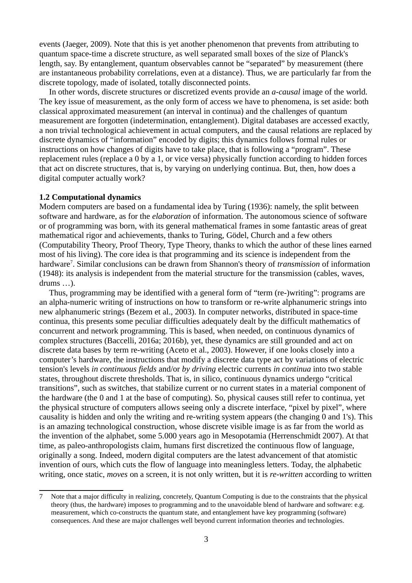events (Jaeger, 2009). Note that this is yet another phenomenon that prevents from attributing to quantum space-time a discrete structure, as well separated small boxes of the size of Planck's length, say. By entanglement, quantum observables cannot be "separated" by measurement (there are instantaneous probability correlations, even at a distance). Thus, we are particularly far from the discrete topology, made of isolated, totally disconnected points.

In other words, discrete structures or discretized events provide an *a-causal* image of the world. The key issue of measurement, as the only form of access we have to phenomena, is set aside: both classical approximated measurement (an interval in continua) and the challenges of quantum measurement are forgotten (indetermination, entanglement). Digital databases are accessed exactly, a non trivial technological achievement in actual computers, and the causal relations are replaced by discrete dynamics of "information" encoded by digits; this dynamics follows formal rules or instructions on how changes of digits have to take place, that is following a "program". These replacement rules (replace a 0 by a 1, or vice versa) physically function according to hidden forces that act on discrete structures, that is, by varying on underlying continua. But, then, how does a digital computer actually work?

### **1.2 Computational dynamics**

Modern computers are based on a fundamental idea by Turing (1936): namely, the split between software and hardware, as for the *elaboration* of information. The autonomous science of software or of programming was born, with its general mathematical frames in some fantastic areas of great mathematical rigor and achievements, thanks to Turing, Gödel, Church and a few others (Computability Theory, Proof Theory, Type Theory, thanks to which the author of these lines earned most of his living). The core idea is that programming and its science is independent from the hardware<sup>[7](#page-2-0)</sup>. Similar conclusions can be drawn from Shannon's theory of *transmission* of information (1948): its analysis is independent from the material structure for the transmission (cables, waves, drums …).

Thus, programming may be identified with a general form of "term (re-)writing": programs are an alpha-numeric writing of instructions on how to transform or re-write alphanumeric strings into new alphanumeric strings (Bezem et al., 2003). In computer networks, distributed in space-time continua, this presents some peculiar difficulties adequately dealt by the difficult mathematics of concurrent and network programming. This is based, when needed, on continuous dynamics of complex structures (Baccelli, 2016a; 2016b), yet, these dynamics are still grounded and act on discrete data bases by term re-writing (Aceto et al., 2003). However, if one looks closely into a computer's hardware, the instructions that modify a discrete data type act by variations of electric tension's levels *in continuous fields* and/or *by driving* electric currents *in continua* into two stable states, throughout discrete thresholds. That is, in silico, continuous dynamics undergo "critical transitions", such as switches, that stabilize current or no current states in a material component of the hardware (the 0 and 1 at the base of computing). So, physical causes still refer to continua, yet the physical structure of computers allows seeing only a discrete interface, "pixel by pixel", where causality is hidden and only the writing and re-writing system appears (the changing 0 and 1's). This is an amazing technological construction, whose discrete visible image is as far from the world as the invention of the alphabet, some 5.000 years ago in Mesopotamia (Herrenschmidt 2007). At that time, as paleo-anthropologists claim, humans first discretized the continuous flow of language, originally a song. Indeed, modern digital computers are the latest advancement of that atomistic invention of ours, which cuts the flow of language into meaningless letters. Today, the alphabetic writing, once static, *moves* on a screen, it is not only written, but it is *re-written* according to written

<span id="page-2-0"></span><sup>7</sup> Note that a major difficulty in realizing, concretely, Quantum Computing is due to the constraints that the physical theory (thus, the hardware) imposes to programming and to the unavoidable blend of hardware and software: e.g. measurement, which co-constructs the quantum state, and entanglement have key programming (software) consequences. And these are major challenges well beyond current information theories and technologies.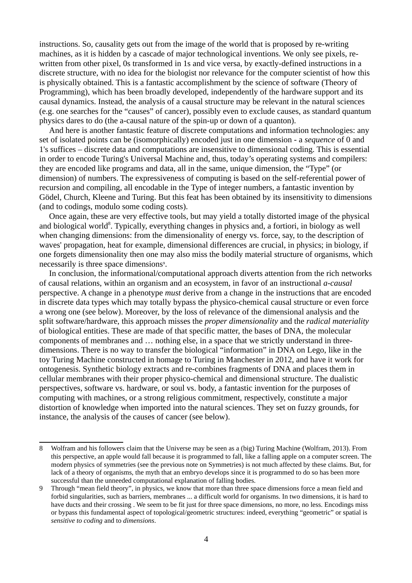instructions. So, causality gets out from the image of the world that is proposed by re-writing machines, as it is hidden by a cascade of major technological inventions. We only see pixels, rewritten from other pixel, 0s transformed in 1s and vice versa, by exactly-defined instructions in a discrete structure, with no idea for the biologist nor relevance for the computer scientist of how this is physically obtained. This is a fantastic accomplishment by the science of software (Theory of Programming), which has been broadly developed, independently of the hardware support and its causal dynamics. Instead, the analysis of a causal structure may be relevant in the natural sciences (e.g. one searches for the "causes" of cancer), possibly even to exclude causes, as standard quantum physics dares to do (the a-causal nature of the spin-up or down of a quanton).

And here is another fantastic feature of discrete computations and information technologies: any set of isolated points can be (isomorphically) encoded just in one dimension - a *sequence* of 0 and 1's suffices – discrete data and computations are insensitive to dimensional coding. This is essential in order to encode Turing's Universal Machine and, thus, today's operating systems and compilers: they are encoded like programs and data, all in the same, unique dimension, the "Type" (or dimension) of numbers. The expressiveness of computing is based on the self-referential power of recursion and compiling, all encodable in the Type of integer numbers, a fantastic invention by Gödel, Church, Kleene and Turing. But this feat has been obtained by its insensitivity to dimensions (and to codings, modulo some coding costs).

Once again, these are very effective tools, but may yield a totally distorted image of the physical and biological world<sup>[8](#page-3-0)</sup>. Typically, everything changes in physics and, a fortiori, in biology as well when changing dimensions: from the dimensionality of energy vs. force, say, to the description of waves' propagation, heat for example, dimensional differences are crucial, in physics; in biology, if one forgets dimensionality then one may also miss the bodily material structure of organisms, which necessarily is three space dimensions<sup>[9](#page-3-1)</sup>.

In conclusion, the informational/computational approach diverts attention from the rich networks of causal relations, within an organism and an ecosystem, in favor of an instructional *a-causal*  perspective. A change in a phenotype *must* derive from a change in the instructions that are encoded in discrete data types which may totally bypass the physico-chemical causal structure or even force a wrong one (see below). Moreover, by the loss of relevance of the dimensional analysis and the split software/hardware, this approach misses the *proper dimensionality* and the *radical materiality* of biological entities. These are made of that specific matter, the bases of DNA, the molecular components of membranes and … nothing else, in a space that we strictly understand in threedimensions. There is no way to transfer the biological "information" in DNA on Lego, like in the toy Turing Machine constructed in homage to Turing in Manchester in 2012, and have it work for ontogenesis. Synthetic biology extracts and re-combines fragments of DNA and places them in cellular membranes with their proper physico-chemical and dimensional structure. The dualistic perspectives, software vs. hardware, or soul vs. body, a fantastic invention for the purposes of computing with machines, or a strong religious commitment, respectively, constitute a major distortion of knowledge when imported into the natural sciences. They set on fuzzy grounds, for instance, the analysis of the causes of cancer (see below).

<span id="page-3-0"></span><sup>8</sup> Wolfram and his followers claim that the Universe may be seen as a (big) Turing Machine (Wolfram, 2013). From this perspective, an apple would fall because it is programmed to fall, like a falling apple on a computer screen. The modern physics of symmetries (see the previous note on Symmetries) is not much affected by these claims. But, for lack of a theory of organisms, the myth that an embryo develops since it is programmed to do so has been more successful than the unneeded computational explanation of falling bodies.

<span id="page-3-1"></span><sup>9</sup> Through "mean field theory", in physics, we know that more than three space dimensions force a mean field and forbid singularities, such as barriers, membranes ... a difficult world for organisms. In two dimensions, it is hard to have ducts and their crossing. We seem to be fit just for three space dimensions, no more, no less. Encodings miss or bypass this fundamental aspect of topological/geometric structures: indeed, everything "geometric" or spatial is *sensitive to coding* and to *dimensions*.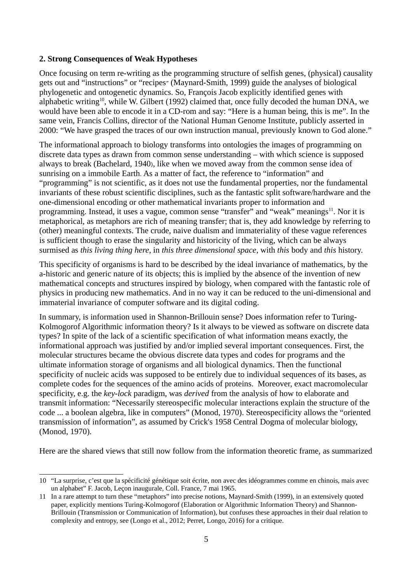## **2. Strong Consequences of Weak Hypotheses**

Once focusing on term re-writing as the programming structure of selfish genes, (physical) causality gets out and "instructions" or "recipes" (Maynard-Smith, 1999) guide the analyses of biological phylogenetic and ontogenetic dynamics. So, François Jacob explicitly identified genes with alphabetic writing<sup>[10](#page-4-0)</sup>, while W. Gilbert (1992) claimed that, once fully decoded the human DNA, we would have been able to encode it in a CD-rom and say: "Here is a human being, this is me". In the same vein, Francis Collins, director of the National Human Genome Institute, publicly asserted in 2000: "We have grasped the traces of our own instruction manual, previously known to God alone."

The informational approach to biology transforms into ontologies the images of programming on discrete data types as drawn from common sense understanding – with which science is supposed always to break (Bachelard, 1940), like when we moved away from the common sense idea of sunrising on a immobile Earth. As a matter of fact, the reference to "information" and "programming" is not scientific, as it does not use the fundamental properties, nor the fundamental invariants of these robust scientific disciplines, such as the fantastic split software/hardware and the one-dimensional encoding or other mathematical invariants proper to information and programming. Instead, it uses a vague, common sense "transfer" and "weak" meanings<sup>[11](#page-4-1)</sup>. Nor it is metaphorical, as metaphors are rich of meaning transfer; that is, they add knowledge by referring to (other) meaningful contexts. The crude, naive dualism and immateriality of these vague references is sufficient though to erase the singularity and historicity of the living, which can be always surmised as *this living thing here*, in *this three dimensional space*, with *this* body and *this* history.

This specificity of organisms is hard to be described by the ideal invariance of mathematics, by the a-historic and generic nature of its objects; this is implied by the absence of the invention of new mathematical concepts and structures inspired by biology, when compared with the fantastic role of physics in producing new mathematics. And in no way it can be reduced to the uni-dimensional and immaterial invariance of computer software and its digital coding.

In summary, is information used in Shannon-Brillouin sense? Does information refer to Turing-Kolmogorof Algorithmic information theory? Is it always to be viewed as software on discrete data types? In spite of the lack of a scientific specification of what information means exactly, the informational approach was justified by and/or implied several important consequences. First, the molecular structures became the obvious discrete data types and codes for programs and the ultimate information storage of organisms and all biological dynamics. Then the functional specificity of nucleic acids was supposed to be entirely due to individual sequences of its bases, as complete codes for the sequences of the amino acids of proteins. Moreover, exact macromolecular specificity, e.g. the *key-lock* paradigm, was *derived* from the analysis of how to elaborate and transmit information: "Necessarily stereospecific molecular interactions explain the structure of the code ... a boolean algebra, like in computers" (Monod, 1970). Stereospecificity allows the "oriented transmission of information", as assumed by Crick's 1958 Central Dogma of molecular biology, (Monod, 1970).

Here are the shared views that still now follow from the information theoretic frame, as summarized

<span id="page-4-0"></span><sup>10</sup> "La surprise, c'est que la spécificité génétique soit écrite, non avec des idéogrammes comme en chinois, mais avec un alphabet" F. Jacob, Leçon inaugurale, Coll. France, 7 mai 1965.

<span id="page-4-1"></span><sup>11</sup> In a rare attempt to turn these "metaphors" into precise notions, Maynard-Smith (1999), in an extensively quoted paper, explicitly mentions Turing-Kolmogorof (Elaboration or Algorithmic Information Theory) and Shannon-Brillouin (Transmission or Communication of Information), but confuses these approaches in their dual relation to complexity and entropy, see (Longo et al., 2012; Perret, Longo, 2016) for a critique.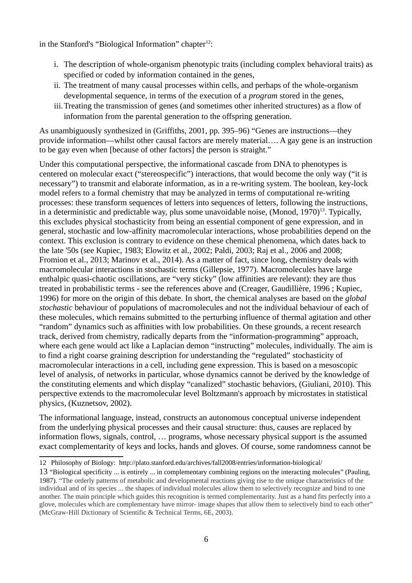in the Stanford's "Biological Information" chapter $12$ :

- i. The description of whole-organism phenotypic traits (including complex behavioral traits) as specified or coded by information contained in the genes,
- ii. The treatment of many causal processes within cells, and perhaps of the whole-organism developmental sequence, in terms of the execution of a *program* stored in the genes,
- iii.Treating the transmission of genes (and sometimes other inherited structures) as a flow of information from the parental generation to the offspring generation.

As unambiguously synthesized in (Griffiths, 2001, pp. 395–96) "Genes are instructions—they provide information—whilst other causal factors are merely material…. A gay gene is an instruction to be gay even when [because of other factors] the person is straight."

Under this computational perspective, the informational cascade from DNA to phenotypes is centered on molecular exact ("stereospecific") interactions, that would become the only way ("it is necessary") to transmit and elaborate information, as in a re-writing system. The boolean, key-lock model refers to a formal chemistry that may be analyzed in terms of computational re-writing processes: these transform sequences of letters into sequences of letters, following the instructions, in a deterministic and predictable way, plus some unavoidable noise,  $(Monod, 1970)^{13}$  $(Monod, 1970)^{13}$  $(Monod, 1970)^{13}$ . Typically, this excludes physical stochasticity from being an essential component of gene expression, and in general, stochastic and low-affinity macromolecular interactions, whose probabilities depend on the context. This exclusion is contrary to evidence on these chemical phenomena, which dates back to the late '50s (see Kupiec, 1983; Elowitz et al., 2002; Paldi, 2003; Raj et al., 2006 and 2008; Fromion et al., 2013; Marinov et al., 2014). As a matter of fact, since long, chemistry deals with macromolecular interactions in stochastic terms (Gillepsie, 1977). Macromolecules have large enthalpic quasi-chaotic oscillations, are "very sticky" (low affinities are relevant): they are thus treated in probabilistic terms - see the references above and (Creager, Gaudillière, 1996 ; Kupiec, 1996) for more on the origin of this debate. In short, the chemical analyses are based on the *global stochastic* behaviour of populations of macromolecules and not the individual behaviour of each of these molecules, which remains submitted to the perturbing influence of thermal agitation and other "random" dynamics such as affinities with low probabilities. On these grounds, a recent research track, derived from chemistry, radically departs from the "information-programming" approach, where each gene would act like a Laplacian demon "instructing" molecules, individually. The aim is to find a right coarse graining description for understanding the "regulated" stochasticity of macromolecular interactions in a cell, including gene expression. This is based on a mesoscopic level of analysis, of networks in particular, whose dynamics cannot be derived by the knowledge of the constituting elements and which display "canalized" stochastic behaviors, (Giuliani, 2010). This perspective extends to the macromolecular level Boltzmann's approach by microstates in statistical physics, (Kuznetsov, 2002).

The informational language, instead, constructs an autonomous conceptual universe independent from the underlying physical processes and their causal structure: thus, causes are replaced by information flows, signals, control, … programs, whose necessary physical support is the assumed exact complementarity of keys and locks, hands and gloves. Of course, some randomness cannot be

<span id="page-5-0"></span><sup>12</sup> Philosophy of Biology: http://plato.stanford.edu/archives/fall2008/entries/information-biological/

<span id="page-5-1"></span><sup>13</sup> "Biological specificity ... is entirely ... in complementary combining regions on the interacting molecules" (Pauling, 1987). "The orderly patterns of metabolic and developmental reactions giving rise to the unique characteristics of the individual and of its species ... the shapes of individual molecules allow them to selectively recognize and bind to one another. The main principle which guides this recognition is termed complementarity. Just as a hand fits perfectly into a glove, molecules which are complementary have mirror- image shapes that allow them to selectively bind to each other" (McGraw-Hill Dictionary of Scientific & Technical Terms, 6E, 2003).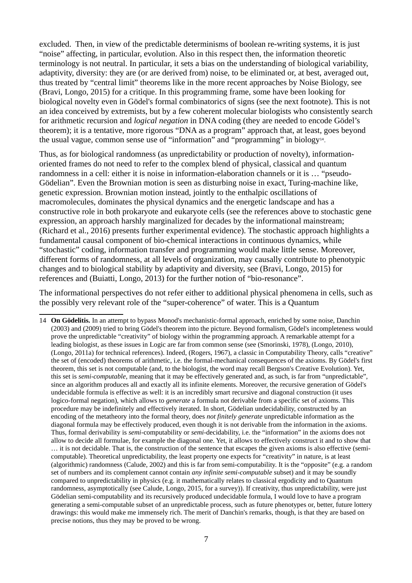excluded. Then, in view of the predictable determinisms of boolean re-writing systems, it is just "noise" affecting, in particular, evolution. Also in this respect then, the information theoretic terminology is not neutral. In particular, it sets a bias on the understanding of biological variability, adaptivity, diversity: they are (or are derived from) noise, to be eliminated or, at best, averaged out, thus treated by "central limit" theorems like in the more recent approaches by Noise Biology, see (Bravi, Longo, 2015) for a critique. In this programming frame, some have been looking for biological novelty even in Gödel's formal combinatorics of signs (see the next footnote). This is not an idea conceived by extremists, but by a few coherent molecular biologists who consistently search for arithmetic recursion and *logical negation* in DNA coding (they are needed to encode Gödel's theorem); it is a tentative, more rigorous "DNA as a program" approach that, at least, goes beyond the usual vague, common sense use of "information" and "programming" in biology<sup>[14](#page-6-0)</sup>.

Thus, as for biological randomness (as unpredictability or production of novelty), informationoriented frames do not need to refer to the complex blend of physical, classical and quantum randomness in a cell: either it is noise in information-elaboration channels or it is … "pseudo-Gödelian". Even the Brownian motion is seen as disturbing noise in exact, Turing-machine like, genetic expression. Brownian motion instead, jointly to the enthalpic oscillations of macromolecules, dominates the physical dynamics and the energetic landscape and has a constructive role in both prokaryote and eukaryote cells (see the references above to stochastic gene expression, an approach harshly marginalized for decades by the informational mainstream; (Richard et al., 2016) presents further experimental evidence). The stochastic approach highlights a fundamental causal component of bio-chemical interactions in continuous dynamics, while "stochastic" coding, information transfer and programming would make little sense. Moreover, different forms of randomness, at all levels of organization, may causally contribute to phenotypic changes and to biological stability by adaptivity and diversity, see (Bravi, Longo, 2015) for references and (Buiatti, Longo, 2013) for the further notion of "bio-resonance".

The informational perspectives do not refer either to additional physical phenomena in cells, such as the possibly very relevant role of the "super-coherence" of water. This is a Quantum

<span id="page-6-0"></span><sup>14</sup> **On Gödelitis.** In an attempt to bypass Monod's mechanistic-formal approach, enriched by some noise, Danchin (2003) and (2009) tried to bring Gödel's theorem into the picture. Beyond formalism, Gödel's incompleteness would prove the unpredictable "creativity" of biology within the programming approach. A remarkable attempt for a leading biologist, as these issues in Logic are far from common sense (see (Smorinski, 1978), (Longo, 2010), (Longo, 2011a) for technical references). Indeed, (Rogers, 1967), a classic in Computability Theory, calls "creative" the set of (encoded) theorems of arithmetic, i.e. the formal-mechanical consequences of the axioms. By Gödel's first theorem, this set is not computable (and, to the biologist, the word may recall Bergson's Creative Evolution). Yet, this set is *semi-computable*, meaning that it may be effectively generated and, as such, is far from "unpredictable", since an algorithm produces all and exactly all its infinite elements. Moreover, the recursive generation of Gödel's undecidable formula is effective as well: it is an incredibly smart recursive and diagonal construction (it uses logico-formal negation), which allows to *generate* a formula not derivable from a specific set of axioms. This procedure may be indefinitely and effectively iterated. In short, Gödelian undecidability, constructed by an encoding of the metatheory into the formal theory, does *not finitely generate* unpredictable information as the diagonal formula may be effectively produced, even though it is not derivable from the information in the axioms. Thus, formal derivability is *semi-*computability or *semi-*decidability, i.e. the "information" in the axioms does not allow to decide all formulae, for example the diagonal one. Yet, it allows to effectively construct it and to show that … it is not decidable. That is, the construction of the sentence that escapes the given axioms is also effective (semicomputable). Theoretical unpredictability, the least property one expects for "creativity" in nature, is at least (algorithmic) randomness (Calude, 2002) and this is far from semi-computability. It is the "opposite" (e.g. a random set of numbers and its complement cannot contain *any infinite semi-computable* subset) and it may be soundly compared to unpredictability in physics (e.g. it mathematically relates to classical ergodicity and to Quantum randomness, asymptotically (see Calude, Longo, 2015, for a survey)). If creativity, thus unpredictability, were just Gödelian semi-computability and its recursively produced undecidable formula, I would love to have a program generating a semi-computable subset of an unpredictable process, such as future phenotypes or, better, future lottery drawings: this would make me immensely rich. The merit of Danchin's remarks, though, is that they are based on precise notions, thus they may be proved to be wrong.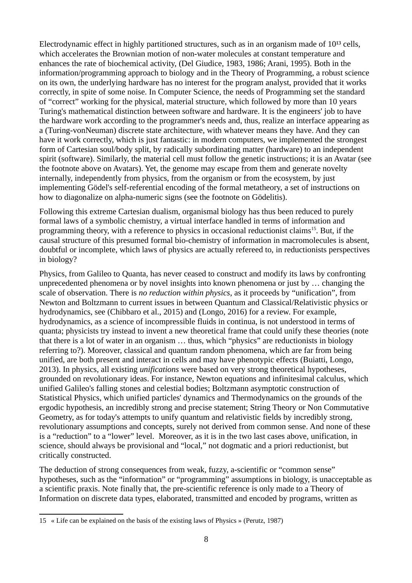Electrodynamic effect in highly partitioned structures, such as in an organism made of  $10^{13}$  cells, which accelerates the Brownian motion of non-water molecules at constant temperature and enhances the rate of biochemical activity, (Del Giudice, 1983, 1986; Arani, 1995). Both in the information/programming approach to biology and in the Theory of Programming, a robust science on its own, the underlying hardware has no interest for the program analyst, provided that it works correctly, in spite of some noise. In Computer Science, the needs of Programming set the standard of "correct" working for the physical, material structure, which followed by more than 10 years Turing's mathematical distinction between software and hardware. It is the engineers' job to have the hardware work according to the programmer's needs and, thus, realize an interface appearing as a (Turing-vonNeuman) discrete state architecture, with whatever means they have. And they can have it work correctly, which is just fantastic: in modern computers, we implemented the strongest form of Cartesian soul/body split, by radically subordinating matter (hardware) to an independent spirit (software). Similarly, the material cell must follow the genetic instructions; it is an Avatar (see the footnote above on Avatars). Yet, the genome may escape from them and generate novelty internally, independently from physics, from the organism or from the ecosystem, by just implementing Gödel's self-referential encoding of the formal metatheory, a set of instructions on how to diagonalize on alpha-numeric signs (see the footnote on Gödelitis).

Following this extreme Cartesian dualism, organismal biology has thus been reduced to purely formal laws of a symbolic chemistry, a virtual interface handled in terms of information and programming theory, with a reference to physics in occasional reductionist claims<sup>[15](#page-7-0)</sup>. But, if the causal structure of this presumed formal bio-chemistry of information in macromolecules is absent, doubtful or incomplete, which laws of physics are actually refereed to, in reductionists perspectives in biology?

Physics, from Galileo to Quanta, has never ceased to construct and modify its laws by confronting unprecedented phenomena or by novel insights into known phenomena or just by … changing the scale of observation. There is *no reduction within physics*, as it proceeds by "unification", from Newton and Boltzmann to current issues in between Quantum and Classical/Relativistic physics or hydrodynamics, see (Chibbaro et al., 2015) and (Longo, 2016) for a review. For example, hydrodynamics, as a science of incompressible fluids in continua, is not understood in terms of quanta; physicists try instead to invent a new theoretical frame that could unify these theories (note that there is a lot of water in an organism … thus, which "physics" are reductionists in biology referring to?). Moreover, classical and quantum random phenomena, which are far from being unified, are both present and interact in cells and may have phenotypic effects (Buiatti, Longo, 2013). In physics, all existing *unifications* were based on very strong theoretical hypotheses, grounded on revolutionary ideas. For instance, Newton equations and infinitesimal calculus, which unified Galileo's falling stones and celestial bodies; Boltzmann asymptotic construction of Statistical Physics, which unified particles' dynamics and Thermodynamics on the grounds of the ergodic hypothesis, an incredibly strong and precise statement; String Theory or Non Commutative Geometry, as for today's attempts to unify quantum and relativistic fields by incredibly strong, revolutionary assumptions and concepts, surely not derived from common sense. And none of these is a "reduction" to a "lower" level. Moreover, as it is in the two last cases above, unification, in science, should always be provisional and "local," not dogmatic and a priori reductionist, but critically constructed.

The deduction of strong consequences from weak, fuzzy, a-scientific or "common sense" hypotheses, such as the "information" or "programming" assumptions in biology, is unacceptable as a scientific praxis. Note finally that, the pre-scientific reference is only made to a Theory of Information on discrete data types, elaborated, transmitted and encoded by programs, written as

<span id="page-7-0"></span><sup>15</sup> « Life can be explained on the basis of the existing laws of Physics » (Perutz, 1987)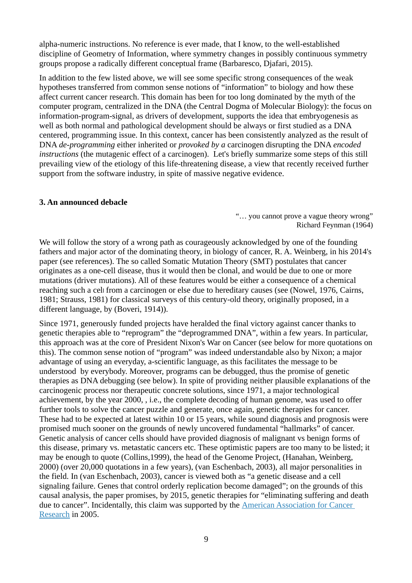alpha-numeric instructions. No reference is ever made, that I know, to the well-established discipline of Geometry of Information, where symmetry changes in possibly continuous symmetry groups propose a radically different conceptual frame (Barbaresco, Djafari, 2015).

In addition to the few listed above, we will see some specific strong consequences of the weak hypotheses transferred from common sense notions of "information" to biology and how these affect current cancer research. This domain has been for too long dominated by the myth of the computer program, centralized in the DNA (the Central Dogma of Molecular Biology): the focus on information-program-signal, as drivers of development, supports the idea that embryogenesis as well as both normal and pathological development should be always or first studied as a DNA centered, programming issue. In this context, cancer has been consistently analyzed as the result of DNA *de-programming* either inherited or *provoked by a* carcinogen disrupting the DNA *encoded instructions* (the mutagenic effect of a carcinogen). Let's briefly summarize some steps of this still prevailing view of the etiology of this life-threatening disease, a view that recently received further support from the software industry, in spite of massive negative evidence.

### **3. An announced debacle**

"… you cannot prove a vague theory wrong" Richard Feynman (1964)

We will follow the story of a wrong path as courageously acknowledged by one of the founding fathers and major actor of the dominating theory, in biology of cancer, R. A. Weinberg, in his 2014's paper (see references). The so called Somatic Mutation Theory (SMT) postulates that cancer originates as a one-cell disease, thus it would then be clonal, and would be due to one or more mutations (driver mutations). All of these features would be either a consequence of a chemical reaching such a cell from a carcinogen or else due to hereditary causes (see (Nowel, 1976, Cairns, 1981; Strauss, 1981) for classical surveys of this century-old theory, originally proposed, in a different language, by (Boveri, 1914)).

Since 1971, generously funded projects have heralded the final victory against cancer thanks to genetic therapies able to "reprogram" the "deprogrammed DNA", within a few years. In particular, this approach was at the core of President Nixon's War on Cancer (see below for more quotations on this). The common sense notion of "program" was indeed understandable also by Nixon; a major advantage of using an everyday, a-scientific language, as this facilitates the message to be understood by everybody. Moreover, programs can be debugged, thus the promise of genetic therapies as DNA debugging (see below). In spite of providing neither plausible explanations of the carcinogenic process nor therapeutic concrete solutions, since 1971, a major technological achievement, by the year 2000, , i.e., the complete decoding of human genome, was used to offer further tools to solve the cancer puzzle and generate, once again, genetic therapies for cancer. These had to be expected at latest within 10 or 15 years, while sound diagnosis and prognosis were promised much sooner on the grounds of newly uncovered fundamental "hallmarks" of cancer. Genetic analysis of cancer cells should have provided diagnosis of malignant vs benign forms of this disease, primary vs. metastatic cancers etc. These optimistic papers are too many to be listed; it may be enough to quote (Collins,1999), the head of the Genome Project, (Hanahan, Weinberg, 2000) (over 20,000 quotations in a few years), (van Eschenbach, 2003), all major personalities in the field. In (van Eschenbach, 2003), cancer is viewed both as "a genetic disease and a cell signaling failure. Genes that control orderly replication become damaged"; on the grounds of this causal analysis, the paper promises, by 2015, genetic therapies for "eliminating suffering and death due to cancer". Incidentally, this claim was supported by the [American Association for Cancer](https://en.wikipedia.org/wiki/American_Association_for_Cancer_Research)  [Research](https://en.wikipedia.org/wiki/American_Association_for_Cancer_Research) in 2005.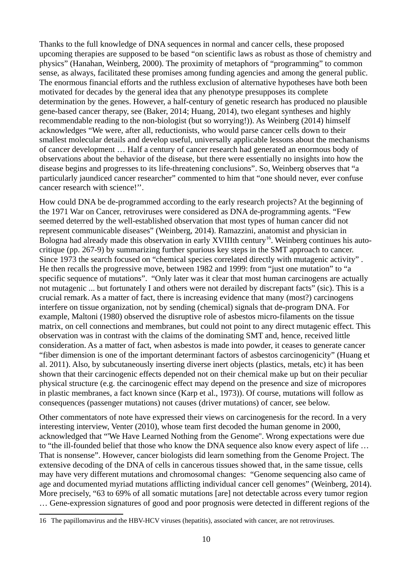Thanks to the full knowledge of DNA sequences in normal and cancer cells, these proposed upcoming therapies are supposed to be based "on scientific laws as robust as those of chemistry and physics" (Hanahan, Weinberg, 2000). The proximity of metaphors of "programming" to common sense, as always, facilitated these promises among funding agencies and among the general public. The enormous financial efforts and the ruthless exclusion of alternative hypotheses have both been motivated for decades by the general idea that any phenotype presupposes its complete determination by the genes. However, a half-century of genetic research has produced no plausible gene-based cancer therapy, see (Baker, 2014; Huang, 2014), two elegant syntheses and highly recommendable reading to the non-biologist (but so worrying!)). As Weinberg (2014) himself acknowledges "We were, after all, reductionists, who would parse cancer cells down to their smallest molecular details and develop useful, universally applicable lessons about the mechanisms of cancer development … Half a century of cancer research had generated an enormous body of observations about the behavior of the disease, but there were essentially no insights into how the disease begins and progresses to its life-threatening conclusions". So, Weinberg observes that "a particularly jaundiced cancer researcher" commented to him that "one should never, ever confuse cancer research with science!''.

How could DNA be de-programmed according to the early research projects? At the beginning of the 1971 War on Cancer, retroviruses were considered as DNA de-programming agents. "Few seemed deterred by the well-established observation that most types of human cancer did not represent communicable diseases" (Weinberg, 2014). Ramazzini, anatomist and physician in Bologna had already made this observation in early XVIIIth century<sup>[16](#page-9-0)</sup>. Weinberg continues his autocritique (pp. 267-9) by summarizing further spurious key steps in the SMT approach to cancer. Since 1973 the search focused on "chemical species correlated directly with mutagenic activity" . He then recalls the progressive move, between 1982 and 1999: from "just one mutation" to "a specific sequence of mutations". "Only later was it clear that most human carcinogens are actually not mutagenic ... but fortunately I and others were not derailed by discrepant facts" (sic). This is a crucial remark. As a matter of fact, there is increasing evidence that many (most?) carcinogens interfere on tissue organization, not by sending (chemical) signals that de-program DNA. For example, Maltoni (1980) observed the disruptive role of asbestos micro-filaments on the tissue matrix, on cell connections and membranes, but could not point to any direct mutagenic effect. This observation was in contrast with the claims of the dominating SMT and, hence, received little consideration. As a matter of fact, when asbestos is made into powder, it ceases to generate cancer "fiber dimension is one of the important determinant factors of asbestos carcinogenicity" (Huang et al. 2011). Also, by subcutaneously inserting diverse inert objects (plastics, metals, etc) it has been shown that their carcinogenic effects depended not on their chemical make up but on their peculiar physical structure (e.g. the carcinogenic effect may depend on the presence and size of micropores in plastic membranes, a fact known since (Karp et al., 1973)). Of course, mutations will follow as consequences (passenger mutations) not causes (driver mutations) of cancer, see below.

Other commentators of note have expressed their views on carcinogenesis for the record. In a very interesting interview, Venter (2010), whose team first decoded the human genome in 2000, acknowledged that "'We Have Learned Nothing from the Genome''. Wrong expectations were due to "the ill-founded belief that those who know the DNA sequence also know every aspect of life … That is nonsense". However, cancer biologists did learn something from the Genome Project. The extensive decoding of the DNA of cells in cancerous tissues showed that, in the same tissue, cells may have very different mutations and chromosomal changes: "Genome sequencing also came of age and documented myriad mutations afflicting individual cancer cell genomes" (Weinberg, 2014). More precisely, "63 to 69% of all somatic mutations [are] not detectable across every tumor region … Gene-expression signatures of good and poor prognosis were detected in different regions of the

<span id="page-9-0"></span><sup>16</sup> The papillomavirus and the HBV-HCV viruses (hepatitis), associated with cancer, are not retroviruses.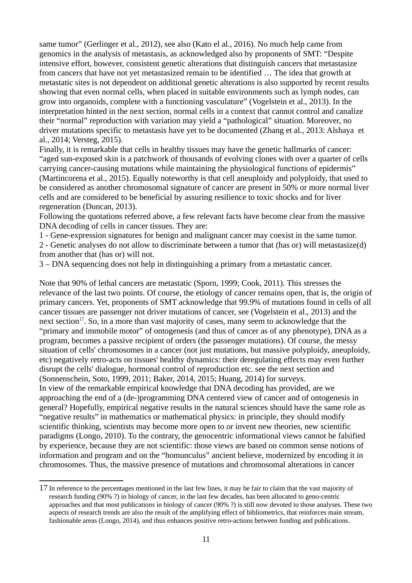same tumor" (Gerlinger et al., 2012), see also (Kato el al., 2016). No much help came from genomics in the analysis of metastasis, as acknowledged also by proponents of SMT: "Despite intensive effort, however, consistent genetic alterations that distinguish cancers that metastasize from cancers that have not yet metastasized remain to be identified … The idea that growth at metastatic sites is not dependent on additional genetic alterations is also supported by recent results showing that even normal cells, when placed in suitable environments such as lymph nodes, can grow into organoids, complete with a functioning vasculature" (Vogelstein et al., 2013). In the interpretation hinted in the next section, normal cells in a context that cannot control and canalize their "normal" reproduction with variation may yield a "pathological" situation. Moreover, no driver mutations specific to metastasis have yet to be documented (Zhang et al., 2013: Alshaya et al., 2014; Versteg, 2015).

Finally, it is remarkable that cells in healthy tissues may have the genetic hallmarks of cancer: "aged sun-exposed skin is a patchwork of thousands of evolving clones with over a quarter of cells carrying cancer-causing mutations while maintaining the physiological functions of epidermis" (Martincorena et al., 2015). Equally noteworthy is that cell aneuploidy and polyploidy, that used to be considered as another chromosomal signature of cancer are present in 50% or more normal liver cells and are considered to be beneficial by assuring resilience to toxic shocks and for liver regeneration (Duncan, 2013).

Following the quotations referred above, a few relevant facts have become clear from the massive DNA decoding of cells in cancer tissues. They are:

1 - Gene-expression signatures for benign and malignant cancer may coexist in the same tumor. 2 - Genetic analyses do not allow to discriminate between a tumor that (has or) will metastasize(d) from another that (has or) will not.

3 – DNA sequencing does not help in distinguishing a primary from a metastatic cancer.

Note that 90% of lethal cancers are metastatic (Sporn, 1999; Cook, 2011). This stresses the relevance of the last two points. Of course, the etiology of cancer remains open, that is, the origin of primary cancers. Yet, proponents of SMT acknowledge that 99.9% of mutations found in cells of all cancer tissues are passenger not driver mutations of cancer, see (Vogelstein et al., 2013) and the next section<sup>[17](#page-10-0)</sup>. So, in a more than vast majority of cases, many seem to acknowledge that the "primary and immobile motor" of ontogenesis (and thus of cancer as of any phenotype), DNA as a program, becomes a passive recipient of orders (the passenger mutations). Of course, the messy situation of cells' chromosomes in a cancer (not just mutations, but massive polyploidy, aneuploidy, etc) negatively retro-acts on tissues' healthy dynamics: their deregulating effects may even further disrupt the cells' dialogue, hormonal control of reproduction etc. see the next section and (Sonnenschein, Soto, 1999, 2011; Baker, 2014, 2015; Huang, 2014) for surveys. In view of the remarkable empirical knowledge that DNA decoding has provided, are we approaching the end of a (de-)programming DNA centered view of cancer and of ontogenesis in general? Hopefully, empirical negative results in the natural sciences should have the same role as "negative results" in mathematics or mathematical physics: in principle, they should modify scientific thinking, scientists may become more open to or invent new theories, new scientific paradigms (Longo, 2010). To the contrary, the genocentric informational views cannot be falsified by experience, because they are not scientific: those views are based on common sense notions of information and program and on the "homunculus" ancient believe, modernized by encoding it in chromosomes. Thus, the massive presence of mutations and chromosomal alterations in cancer

<span id="page-10-0"></span><sup>17</sup> In reference to the percentages mentioned in the last few lines, it may be fair to claim that the vast majority of research funding (90% ?) in biology of cancer, in the last few decades, has been allocated to geno-centric approaches and that most publications in biology of cancer (90% ?) is still now devoted to those analyses. These two aspects of research trends are also the result of the amplifying effect of bibliometrics, that reinforces main stream, fashionable areas (Longo, 2014), and thus enhances positive retro-actions between funding and publications.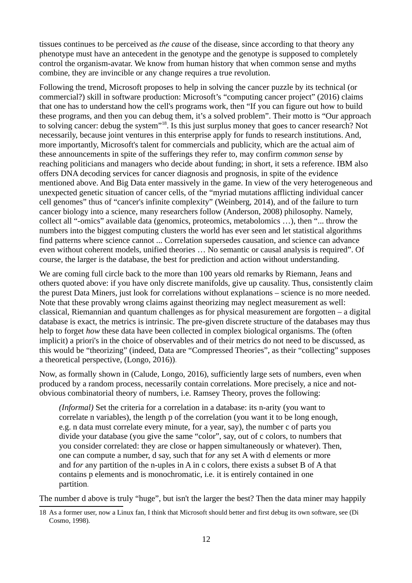tissues continues to be perceived as *the cause* of the disease, since according to that theory any phenotype must have an antecedent in the genotype and the genotype is supposed to completely control the organism-avatar. We know from human history that when common sense and myths combine, they are invincible or any change requires a true revolution.

Following the trend, Microsoft proposes to help in solving the cancer puzzle by its technical (or commercial?) skill in software production: Microsoft's "computing cancer project" (2016) claims that one has to understand how the cell's programs work, then "If you can figure out how to build these programs, and then you can debug them, it's a solved problem". Their motto is "Our approach to solving cancer: debug the system"[18](#page-11-0). Is this just surplus money that goes to cancer research? Not necessarily, because joint ventures in this enterprise apply for funds to research institutions. And, more importantly, Microsoft's talent for commercials and publicity, which are the actual aim of these announcements in spite of the sufferings they refer to, may confirm *common sense* by reaching politicians and managers who decide about funding; in short, it sets a reference. IBM also offers DNA decoding services for cancer diagnosis and prognosis, in spite of the evidence mentioned above. And Big Data enter massively in the game. In view of the very heterogeneous and unexpected genetic situation of cancer cells, of the "myriad mutations afflicting individual cancer cell genomes" thus of "cancer's infinite complexity" (Weinberg, 2014), and of the failure to turn cancer biology into a science, many researchers follow (Anderson, 2008) philosophy. Namely, collect all "-omics" available data (genomics, proteomics, metabolomics …), then "... throw the numbers into the biggest computing clusters the world has ever seen and let statistical algorithms find patterns where science cannot ... Correlation supersedes causation, and science can advance even without coherent models, unified theories … No semantic or causal analysis is required". Of course, the larger is the database, the best for prediction and action without understanding.

We are coming full circle back to the more than 100 years old remarks by Riemann, Jeans and others quoted above: if you have only discrete manifolds, give up causality. Thus, consistently claim the purest Data Miners, just look for correlations without explanations – science is no more needed. Note that these provably wrong claims against theorizing may neglect measurement as well: classical, Riemannian and quantum challenges as for physical measurement are forgotten – a digital database is exact, the metrics is intrinsic. The pre-given discrete structure of the databases may thus help to forget *how* these data have been collected in complex biological organisms. The (often implicit) a priori's in the choice of observables and of their metrics do not need to be discussed, as this would be "theorizing" (indeed, Data are "Compressed Theories", as their "collecting" supposes a theoretical perspective, (Longo, 2016)).

Now, as formally shown in (Calude, Longo, 2016), sufficiently large sets of numbers, even when produced by a random process, necessarily contain correlations. More precisely, a nice and notobvious combinatorial theory of numbers, i.e. Ramsey Theory, proves the following:

*(Informal)* Set the criteria for a correlation in a database: its n-arity (you want to correlate n variables), the length p of the correlation (you want it to be long enough, e.g. n data must correlate every minute, for a year, say), the number c of parts you divide your database (you give the same "color", say, out of c colors, to numbers that you consider correlated: they are close or happen simultaneously or whatever). Then, one can compute a number, d say, such that f*or* any set A with d elements or more and f*or* any partition of the n-uples in A in c colors, there exists a subset B of A that contains p elements and is monochromatic, i.e. it is entirely contained in one partition.

The number d above is truly "huge", but isn't the larger the best? Then the data miner may happily

<span id="page-11-0"></span><sup>18</sup> As a former user, now a Linux fan, I think that Microsoft should better and first debug its own software, see (Di Cosmo, 1998).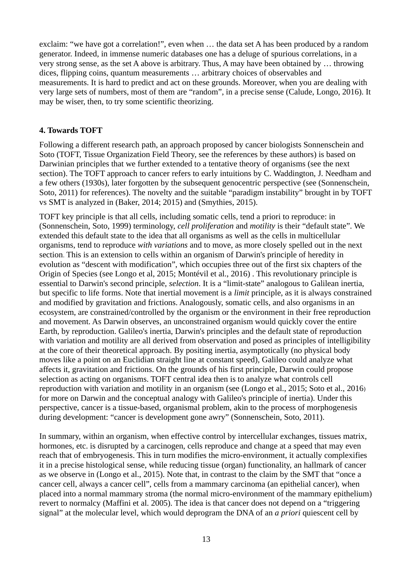exclaim: "we have got a correlation!", even when ... the data set A has been produced by a random generator. Indeed, in immense numeric databases one has a deluge of spurious correlations, in a very strong sense, as the set A above is arbitrary. Thus, A may have been obtained by … throwing dices, flipping coins, quantum measurements … arbitrary choices of observables and measurements. It is hard to predict and act on these grounds. Moreover, when you are dealing with very large sets of numbers, most of them are "random", in a precise sense (Calude, Longo, 2016). It may be wiser, then, to try some scientific theorizing.

### **4. Towards TOFT**

Following a different research path, an approach proposed by cancer biologists Sonnenschein and Soto (TOFT, Tissue Organization Field Theory, see the references by these authors) is based on Darwinian principles that we further extended to a tentative theory of organisms (see the next section). The TOFT approach to cancer refers to early intuitions by C. Waddington, J. Needham and a few others (1930s), later forgotten by the subsequent genocentric perspective (see (Sonnenschein, Soto, 2011) for references). The novelty and the suitable "paradigm instability" brought in by TOFT vs SMT is analyzed in (Baker, 2014; 2015) and (Smythies, 2015).

TOFT key principle is that all cells, including somatic cells, tend a priori to reproduce: in (Sonnenschein, Soto, 1999) terminology, *cell proliferation* and *motility* is their "default state". We extended this default state to the idea that all organisms as well as the cells in multicellular organisms, tend to reproduce *with variations* and to move, as more closely spelled out in the next section. This is an extension to cells within an organism of Darwin's principle of heredity in evolution as "descent with modification", which occupies three out of the first six chapters of the Origin of Species (see Longo et al, 2015; Montévil et al., 2016) . This revolutionary principle is essential to Darwin's second principle, *selection*. It is a "limit-state" analogous to Galilean inertia, but specific to life forms. Note that inertial movement is a *limit* principle, as it is always constrained and modified by gravitation and frictions. Analogously, somatic cells, and also organisms in an ecosystem, are constrained/controlled by the organism or the environment in their free reproduction and movement. As Darwin observes, an unconstrained organism would quickly cover the entire Earth, by reproduction. Galileo's inertia, Darwin's principles and the default state of reproduction with variation and motility are all derived from observation and posed as principles of intelligibility at the core of their theoretical approach. By positing inertia, asymptotically (no physical body moves like a point on an Euclidian straight line at constant speed), Galileo could analyze what affects it, gravitation and frictions. On the grounds of his first principle, Darwin could propose selection as acting on organisms. TOFT central idea then is to analyze what controls cell reproduction with variation and motility in an organism (see (Longo et al., 2015; Soto et al., 2016) for more on Darwin and the conceptual analogy with Galileo's principle of inertia). Under this perspective, cancer is a tissue-based, organismal problem, akin to the process of morphogenesis during development: "cancer is development gone awry" (Sonnenschein, Soto, 2011).

In summary, within an organism, when effective control by intercellular exchanges, tissues matrix, hormones, etc. is disrupted by a carcinogen, cells reproduce and change at a speed that may even reach that of embryogenesis. This in turn modifies the micro-environment, it actually complexifies it in a precise histological sense, while reducing tissue (organ) functionality, an hallmark of cancer as we observe in (Longo et al., 2015). Note that, in contrast to the claim by the SMT that "once a cancer cell, always a cancer cell", cells from a mammary carcinoma (an epithelial cancer), when placed into a normal mammary stroma (the normal micro-environment of the mammary epithelium) revert to normalcy (Maffini et al. 2005). The idea is that cancer does not depend on a "triggering signal" at the molecular level, which would deprogram the DNA of an *a priori* quiescent cell by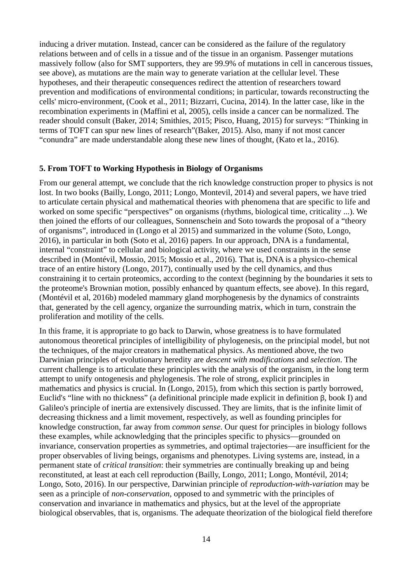inducing a driver mutation. Instead, cancer can be considered as the failure of the regulatory relations between and of cells in a tissue and of the tissue in an organism. Passenger mutations massively follow (also for SMT supporters, they are 99.9% of mutations in cell in cancerous tissues, see above), as mutations are the main way to generate variation at the cellular level. These hypotheses, and their therapeutic consequences redirect the attention of researchers toward prevention and modifications of environmental conditions; in particular, towards reconstructing the cells' micro-environment, (Cook et al., 2011; Bizzarri, Cucina, 2014). In the latter case, like in the recombination experiments in (Maffini et al, 2005), cells inside a cancer can be normalized. The reader should consult (Baker, 2014; Smithies, 2015; Pisco, Huang, 2015) for surveys: "Thinking in terms of TOFT can spur new lines of research"(Baker, 2015). Also, many if not most cancer "conundra" are made understandable along these new lines of thought, (Kato et la., 2016).

### **5. From TOFT to Working Hypothesis in Biology of Organisms**

From our general attempt, we conclude that the rich knowledge construction proper to physics is not lost. In two books (Bailly, Longo, 2011; Longo, Montevil, 2014) and several papers, we have tried to articulate certain physical and mathematical theories with phenomena that are specific to life and worked on some specific "perspectives" on organisms (rhythms, biological time, criticality ...). We then joined the efforts of our colleagues, Sonnenschein and Soto towards the proposal of a "theory of organisms", introduced in (Longo et al 2015) and summarized in the volume (Soto, Longo, 2016), in particular in both (Soto et al, 2016) papers. In our approach, DNA is a fundamental, internal "constraint" to cellular and biological activity, where we used constraints in the sense described in (Montévil, Mossio, 2015; Mossio et al., 2016). That is, DNA is a physico-chemical trace of an entire history (Longo, 2017), continually used by the cell dynamics, and thus constraining it to certain proteomics, according to the context (beginning by the boundaries it sets to the proteome's Brownian motion, possibly enhanced by quantum effects, see above). In this regard, (Montévil et al, 2016b) modeled mammary gland morphogenesis by the dynamics of constraints that, generated by the cell agency, organize the surrounding matrix, which in turn, constrain the proliferation and motility of the cells.

In this frame, it is appropriate to go back to Darwin, whose greatness is to have formulated autonomous theoretical principles of intelligibility of phylogenesis, on the principial model, but not the techniques, of the major creators in mathematical physics. As mentioned above, the two Darwinian principles of evolutionary heredity are *descent with modifications* and *selection*. The current challenge is to articulate these principles with the analysis of the organism, in the long term attempt to unify ontogenesis and phylogenesis. The role of strong, explicit principles in mathematics and physics is crucial. In (Longo, 2015), from which this section is partly borrowed, Euclid's "line with no thickness" (a definitional principle made explicit in definition β, book I) and Galileo's principle of inertia are extensively discussed. They are limits, that is the infinite limit of decreasing thickness and a limit movement, respectively, as well as founding principles for knowledge construction, far away from *common sense*. Our quest for principles in biology follows these examples, while acknowledging that the principles specific to physics—grounded on invariance, conservation properties as symmetries, and optimal trajectories—are insufficient for the proper observables of living beings, organisms and phenotypes. Living systems are, instead, in a permanent state of *critical transition*: their symmetries are continually breaking up and being reconstituted, at least at each cell reproduction (Bailly, Longo, 2011; Longo, Montévil, 2014; Longo, Soto, 2016). In our perspective, Darwinian principle of *reproduction-with-variation* may be seen as a principle of *non-conservation*, opposed to and symmetric with the principles of conservation and invariance in mathematics and physics, but at the level of the appropriate biological observables, that is, organisms. The adequate theorization of the biological field therefore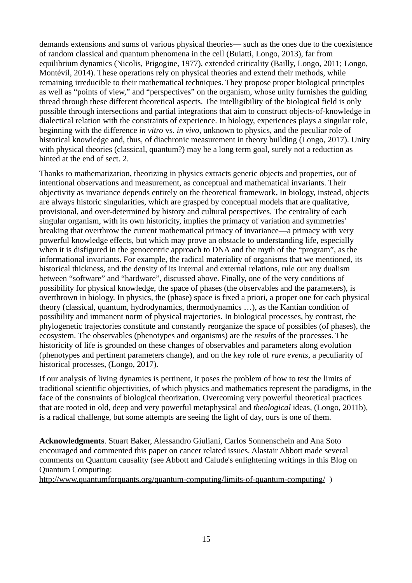demands extensions and sums of various physical theories— such as the ones due to the coexistence of random classical and quantum phenomena in the cell (Buiatti, Longo, 2013), far from equilibrium dynamics (Nicolis, Prigogine, 1977), extended criticality (Bailly, Longo, 2011; Longo, Montévil, 2014). These operations rely on physical theories and extend their methods, while remaining irreducible to their mathematical techniques. They propose proper biological principles as well as "points of view," and "perspectives" on the organism, whose unity furnishes the guiding thread through these different theoretical aspects. The intelligibility of the biological field is only possible through intersections and partial integrations that aim to construct objects-of-knowledge in dialectical relation with the constraints of experience. In biology, experiences plays a singular role, beginning with the difference *in vitro* vs. *in vivo*, unknown to physics, and the peculiar role of historical knowledge and, thus, of diachronic measurement in theory building (Longo, 2017). Unity with physical theories (classical, quantum?) may be a long term goal, surely not a reduction as hinted at the end of sect. 2.

Thanks to mathematization, theorizing in physics extracts generic objects and properties, out of intentional observations and measurement, as conceptual and mathematical invariants. Their objectivity as invariance depends entirely on the theoretical framework**.** In biology, instead, objects are always historic singularities, which are grasped by conceptual models that are qualitative, provisional, and over-determined by history and cultural perspectives. The centrality of each singular organism, with its own historicity, implies the primacy of variation and symmetries' breaking that overthrow the current mathematical primacy of invariance—a primacy with very powerful knowledge effects, but which may prove an obstacle to understanding life, especially when it is disfigured in the genocentric approach to DNA and the myth of the "program", as the informational invariants. For example, the radical materiality of organisms that we mentioned, its historical thickness, and the density of its internal and external relations, rule out any dualism between "software" and "hardware", discussed above. Finally, one of the very conditions of possibility for physical knowledge, the space of phases (the observables and the parameters), is overthrown in biology. In physics, the (phase) space is fixed a priori, a proper one for each physical theory (classical, quantum, hydrodynamics, thermodynamics …), as the Kantian condition of possibility and immanent norm of physical trajectories. In biological processes, by contrast, the phylogenetic trajectories constitute and constantly reorganize the space of possibles (of phases), the ecosystem. The observables (phenotypes and organisms) are the *results* of the processes. The historicity of life is grounded on these changes of observables and parameters along evolution (phenotypes and pertinent parameters change), and on the key role of *rare events*, a peculiarity of historical processes, (Longo, 2017).

If our analysis of living dynamics is pertinent, it poses the problem of how to test the limits of traditional scientific objectivities, of which physics and mathematics represent the paradigms, in the face of the constraints of biological theorization. Overcoming very powerful theoretical practices that are rooted in old, deep and very powerful metaphysical and *theological* ideas, (Longo, 2011b), is a radical challenge, but some attempts are seeing the light of day, ours is one of them.

**Acknowledgments**. Stuart Baker, Alessandro Giuliani, Carlos Sonnenschein and Ana Soto encouraged and commented this paper on cancer related issues. Alastair Abbott made several comments on Quantum causality (see Abbott and Calude's enlightening writings in this Blog on Quantum Computing:

<http://www.quantumforquants.org/quantum-computing/limits-of-quantum-computing/>)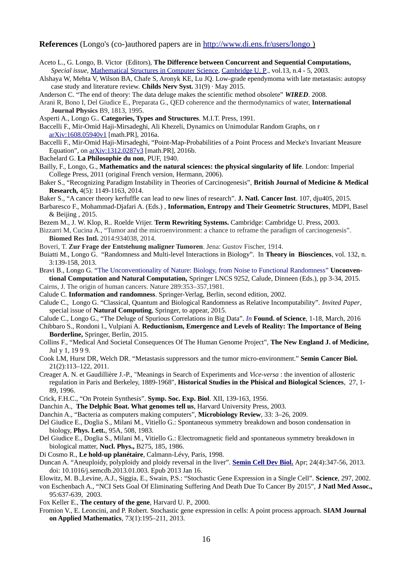#### **References** (Longo's (co-)authored papers are in<http://www.di.ens.fr/users/longo>)

- Aceto L., G. Longo, B. Victor (Editors), **The Difference between Concurrent and Sequential Computations,**  *Special issue,* [Mathematical Structures in Computer Science,](http://uk.cambridge.org/journals/msc/intro.htm) [Cambridge U. P.](http://uk.cambridge.org/), vol.13, n.4 - 5, 2003.
- Alshaya W, Mehta V, Wilson BA, Chafe S, Aronyk KE, Lu JQ. Low-grade ependymoma with late metastasis: autopsy case study and literature review. **Childs Nerv Syst.** 31(9) · May 2015.
- Anderson C. "The end of theory: The data deluge makes the scientific method obsolete" *WIRED*. 2008.
- Arani R, Bono I, Del Giudice E., Preparata G., QED coherence and the thermodynamics of water, **International Journal Physics** B9, 1813, 1995.
- Asperti A., Longo G.. **Categories, Types and Structures**. M.I.T. Press, 1991.
- Baccelli F., Mir-Omid Haji-Mirsadeghi, Ali Khezeli, Dynamics on Unimodular Random Graphs, on r [arXiv:1608.05940v1](https://arxiv.org/abs/1608.05940v1) [math.PR], 2016a.
- Baccelli F., Mir-Omid Haji-Mirsadeghi, "Point-Map-Probabilities of a Point Process and Mecke's Invariant Measure Equation", on [arXiv:1312.0287v3](https://arxiv.org/abs/1312.0287v3) [math.PR], 2016b.
- Bachelard G. **La Philosophie du non**, PUF, 1940.
- Bailly, F., Longo, G., **Mathematics and the natural sciences: the physical singularity of life***.* London: Imperial College Press, 2011 (original French version, Hermann, 2006).
- Baker S., "Recognizing Paradigm Instability in Theories of Carcinogenesis", **British Journal of Medicine & Medical Research,** 4(5): 1149-1163, 2014.
- Baker S., "A cancer theory kerfuffle can lead to new lines of research". **J. Natl. Cancer Inst**. 107, dju405, 2015.
- Barbaresco F., Mohammad-Djafari A. (Eds.) , **Information, Entropy and Their Geometric Structures**, MDPI, Basel & Beijing , 2015.
- Bezem M., J. W. Klop, R.. Roelde Vrijer. **Term Rewriting Systems.** Cambridge: Cambridge U. Press, 2003.
- Bizzarri M, Cucina A., "Tumor and the microenvironment: a chance to reframe the paradigm of carcinogenesis". **Biomed Res Intl.** 2014:934038, 2014.
- Boveri, T. **Zur Frage der Entstehung maligner Tumoren**. Jena: Gustov Fischer, 1914.
- Buiatti M., Longo G. "Randomness and Multi-level Interactions in Biology". In **Theory in Biosciences**, vol. 132, n. 3:139-158, 2013.
- Bravi B., Longo G. "The Unconventionality of Nature: Biology, from Noise to Functional Randomness" **Unconventional Computation and Natural Computation,** Springer LNCS 9252, Calude, Dinneen (Eds.), pp 3-34, 2015.
- Cairns, J. The origin of human cancers. Nature 289:353–357,1981.
- Calude C. **Information and randomness**. Springer-Verlag, Berlin, second edition, 2002.
- Calude C., Longo G. "Classical, Quantum and Biological Randomness as Relative Incomputability". *Invited Paper*, special issue of **Natural Computing**, Springer, to appear, 2015.
- Calude C., Longo G., "The Deluge of Spurious Correlations in Big Data". *In* **Found. of Science**, 1-18, March, 2016
- Chibbaro S., Rondoni l., Vulpiani A. **Reductionism, Emergence and Levels of Reality: The Importance of Being Borderline,** Springer, Berlin, 2015.
- Collins F., "Medical And Societal Consequences Of The Human Genome Project", **The New England J. of Medicine,** Jul y 1, 19 9 9.
- Cook LM, Hurst DR, Welch DR. "Metastasis suppressors and the tumor micro-environment." **Semin Cancer Biol.** 21(2):113–122, 2011.
- Creager A. N. et Gaudillière J.-P., "Meanings in Search of Experiments and *Vice-versa* : the invention of allosteric regulation in Paris and Berkeley, 1889-1968", **Historical Studies in the Phisical and Biological Sciences**, 27, 1- 89, 1996.
- Crick, F.H.C., "On Protein Synthesis". **Symp. Soc. Exp. Biol**. XII, 139-163, 1956.
- Danchin A., **The Delphic Boat. What genomes tell us**, Harvard University Press, 2003.
- Danchin A., "Bacteria as computers making computers", **Microbiology Review**, 33: 3–26, 2009.

Del Giudice E., Doglia S., Milani M., Vitiello G.: Spontaneous symmetry breakdown and boson condensation in biology, **Phys. Lett.**, 95A, 508, 1983.

- Del Giudice E., Doglia S., Milani M., Vitiello G.: Electromagnetic field and spontaneous symmetry breakdown in biological matter, **Nucl. Phys.,** B275, 185, 1986.
- Di Cosmo R., **Le hold-up planétaire**, Calmann-Lévy, Paris, 1998.
- Duncan A. "Aneuploidy, polyploidy and ploidy reversal in the liver". **[Semin Cell Dev Biol.](https://www.ncbi.nlm.nih.gov/pubmed/23333793)** Apr; 24(4):347-56, 2013. doi: 10.1016/j.semcdb.2013.01.003. Epub 2013 Jan 16.
- Elowitz, M. B.,Levine, A.J., Siggia, E., Swain, P.S.: "Stochastic Gene Expression in a Single Cell". **Science**, 297, 2002.
- von Eschenbach A., "NCI Sets Goal Of Eliminating Suffering And Death Due To Cancer By 2015", **J Natl Med Assoc.,** 95:637-639, 2003.
- Fox Keller E., **The century of the gene**, Harvard U. P., 2000.
- Fromion V., E. Leoncini, and P. Robert. Stochastic gene expression in cells: A point process approach. **SIAM Journal on Applied Mathematics**, 73(1):195–211, 2013.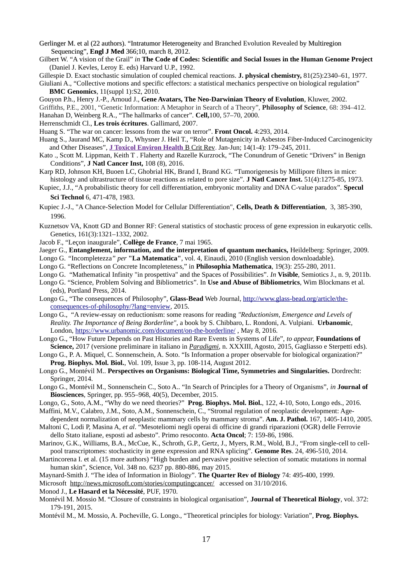Gerlinger M. et al (22 authors). "Intratumor Heterogeneity and Branched Evolution Revealed by Multiregion Sequencing", **Engl J Med** 366;10, march 8, 2012.

Gilbert W. "A vision of the Grail" *in* **The Code of Codes: Scientific and Social Issues in the Human Genome Project** (Daniel J. Kevles, Leroy E. eds) Harvard U.P., 1992.

Gillespie D. Exact stochastic simulation of coupled chemical reactions. **J. physical chemistry,** 81(25):2340–61, 1977.

Giuliani A., "Collective motions and specific effectors: a statistical mechanics perspective on biological regulation" **BMC Genomics**, 11(suppl 1):S2, 2010.

Gouyon P.h., Henry J.-P., Arnoud J., **Gene Avatars, The Neo-Darwinian Theory of Evolution**, Kluwer, 2002.

Griffiths, P.E., 2001, "Genetic Information: A Metaphor in Search of a Theory", **Philosophy of Science**, 68: 394–412.

Hanahan D, Weinberg R.A., "The hallmarks of cancer". **Cell,**100, 57–70, 2000.

Herrenschmidt Cl., **Les trois écritures**. Gallimard, 2007.

Huang S. "The war on cancer: lessons from the war on terror". **Front Oncol.** 4:293, 2014.

- Huang S., Jaurand MC, Kamp D., Whysner J. Heil T., "Role of Mutagenicity in Asbestos Fiber-Induced Carcinogenicity and Other Diseases", **[J Toxicol Environ Health](https://www.ncbi.nlm.nih.gov/pmc/articles/PMC3118525/)** [B Crit Rev.](https://www.ncbi.nlm.nih.gov/pmc/articles/PMC3118525/) Jan-Jun; 14(1-4): 179–245, 2011.
- Kato ., Scott M. Lippman, Keith T . Flaherty and Razelle Kurzrock, "The Conundrum of Genetic "Drivers" in Benign Conditions", **J Natl Cancer Inst,** 108 (8), 2016.
- Karp RD, Johnson KH, Buoen LC, Ghobrial HK, Brand I, Brand KG. "Tumorigenesis by Millipore filters in mice: histology and ultrastructure of tissue reactions as related to pore size". **J Natl Cancer Inst.** 51(4):1275-85, 1973.
- Kupiec, J.J., "A probabilistic theory for cell differentiation, embryonic mortality and DNA C-value paradox". **Specul Sci Technol** 6, 471-478, 1983.
- Kupiec J.-J., "A Chance-Selection Model for Cellular Differentiation", **Cells, Death & Differentiation**, 3, 385-390, 1996.
- Kuznetsov VA, Knott GD and Bonner RF: General statistics of stochastic process of gene expression in eukaryotic cells. Genetics, 161(3):1321–1332, 2002.
- Jacob F., "Leçon inaugurale", **Collège de France**, 7 mai 1965.
- Jaeger G., **Entanglement, information, and the interpretation of quantum mechanics,** Heildelberg: Springer, 2009.
- Longo G. *"*Incompletezza*" per* **"La Matematica"**, vol. 4, Einaudi, 2010 (English version downloadable).
- Longo G. "Reflections on Concrete Incompleteness," in **Philosophia Mathematica**, 19(3): 255-280, 2011.
- Longo G. "Mathematical Infinity "in prospettiva" and the Spaces of Possibilities". *In* **Visible**, Semiotics J., n. 9, 2011b.
- Longo G. "Science, Problem Solving and Bibliometrics". In **Use and Abuse of Bibliometrics**, Wim Blockmans et al. (eds), Portland Press, 2014.
- Longo G., "The consequences of Philosophy", **Glass-Bead** Web Journal, [http://www.glass-bead.org/article/the](http://www.glass-bead.org/article/the-consequences-of-philosophy/?lang=enview)[consequences-of-philosophy/?lang=enview,](http://www.glass-bead.org/article/the-consequences-of-philosophy/?lang=enview) 2015.
- Longo G., "A review-essay on reductionism: some reasons for reading *"Reductionism, Emergence and Levels of Reality. The Importance of Being Borderline"*, a book by S. Chibbaro, L. Rondoni, A. Vulpiani. **Urbanomic**, London,<https://www.urbanomic.com/document/on-the-borderline/>, May 8, 2016.
- Longo G., "How Future Depends on Past Histories and Rare Events in Systems of Life", *to appear,* **Foundations of Science,** 2017 (versione preliminare in italiano in *[Paradigmi](https://www.francoangeli.it/Riviste/Scheda_Rivista.aspx?idArticolo=54596)*, n. XXXIII, Agosto, 2015, Gagliasso e Sterpetti eds).
- Longo G., P. A. Miquel, C. Sonnenschein, A. Soto. "Is Information a proper observable for biological organization?" **Prog. Biophys. Mol. Biol.**, Vol. 109, Issue 3, pp. 108-114, August 2012.
- Longo G., Montévil M.. **Perspectives on Organisms: Biological Time, Symmetries and Singularities.** Dordrecht: Springer, 2014.
- Longo G., Montévil M., Sonnenschein C., Soto A.. "In Search of Principles for a Theory of Organisms", *in* **Journal of Biosciences**, Springer, pp. 955–968, 40(5), December, 2015.

Longo, G., Soto, A.M., "Why do we need theories?" **Prog. Biophys. Mol. Biol.**, 122, 4-10, Soto, Longo eds., 2016. Maffini, M.V., Calabro, J.M., Soto, A.M., Sonnenschein, C., "Stromal regulation of neoplastic development: Age-

- dependent normalization of neoplastic mammary cells by mammary stroma". **Am. J. Pathol.** 167, 1405-1410, 2005.
- Maltoni C, Lodi P, Masina A, *et al*. "Mesoteliomi negli operai di officine di grandi riparazioni (OGR) delle Ferrovie dello Stato italiane, esposti ad asbesto". Primo resoconto. **Acta Oncol**; 7: 159-86, 1986.
- Marinov, G.K., Williams, B.A., McCue, K., Schroth, G.P., Gertz, J., Myers, R.M., Wold, B.J., "From single-cell to cellpool transcriptomes: stochasticity in gene expression and RNA splicing". **Genome Res**. 24, 496-510, 2014.
- Martincorena I. et al. (15 more authors) "High burden and pervasive positive selection of somatic mutations in normal human skin", Science, Vol. 348 no. 6237 pp. 880-886, may 2015.
- Maynard-Smith J. "The idea of Information in Biology". **The Quarter Rev of Biology** 74: 495-400, 1999.

Microsoft <http://news.microsoft.com/stories/computingcancer/> accessed on 31/10/2016.

Monod J., **Le Hasard et la Nécessité**, PUF, 1970.

- Montévil M. Mossio M. "Closure of constraints in biological organisation", **Journal of Theoretical Biology**, vol. 372: 179-191, 2015.
- Montévil M., M. Mossio, A. Pocheville, G. Longo., "Theoretical principles for biology: Variation", **Prog. Biophys.**